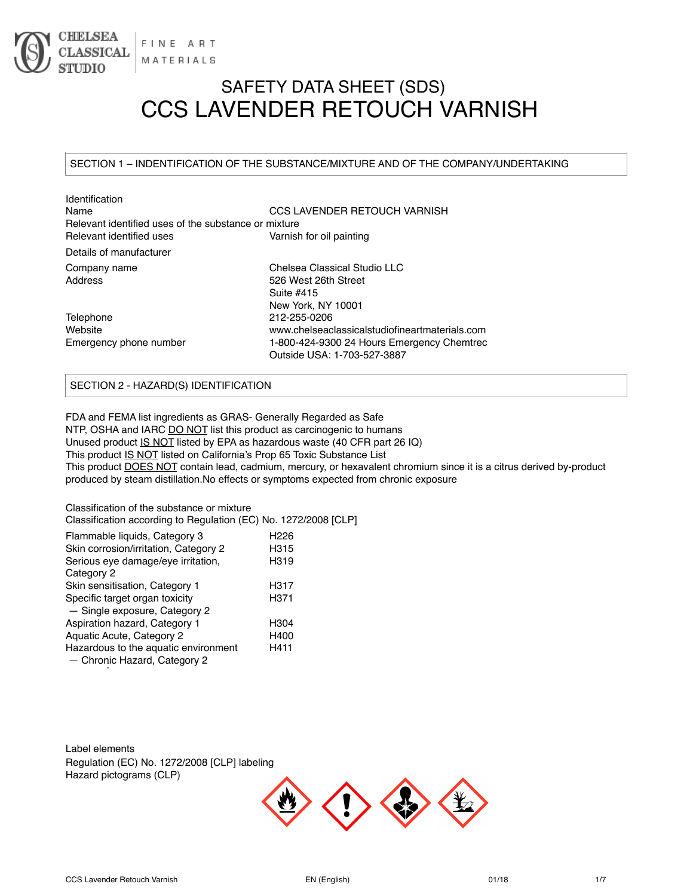

# SAFETY DATA SHEET (SDS) CCS LAVENDER RETOUCH VARNISH

### SECTION 1 – INDENTIFICATION OF THE SUBSTANCE/MIXTURE AND OF THE COMPANY/UNDERTAKING

| Identification                                       |                                                |
|------------------------------------------------------|------------------------------------------------|
| Name                                                 | CCS LAVENDER RETOUCH VARNISH                   |
| Relevant identified uses of the substance or mixture |                                                |
| Relevant identified uses                             | Varnish for oil painting                       |
| Details of manufacturer                              |                                                |
| Company name                                         | Chelsea Classical Studio LLC                   |
| Address                                              | 526 West 26th Street                           |
|                                                      | Suite #415                                     |
|                                                      | New York, NY 10001                             |
| Telephone                                            | 212-255-0206                                   |
| Website                                              | www.chelseaclassicalstudiofineartmaterials.com |
| Emergency phone number                               | 1-800-424-9300 24 Hours Emergency Chemtrec     |
|                                                      | Outside USA: 1-703-527-3887                    |
|                                                      |                                                |

## SECTION 2 - HAZARD(S) IDENTIFICATION

FDA and FEMA list ingredients as GRAS- Generally Regarded as Safe NTP, OSHA and IARC DO NOT list this product as carcinogenic to humans Unused product IS NOT listed by EPA as hazardous waste (40 CFR part 26 IQ) This product IS NOT listed on California's Prop 65 Toxic Substance List This product **DOES NOT** contain lead, cadmium, mercury, or hexavalent chromium since it is a citrus derived by-product produced by steam distillation.No effects or symptoms expected from chronic exposure

Classification of the substance or mixture Classification according to Regulation (EC) No. 1272/2008 [CLP]

| Flammable liquids, Category 3         | H226 |
|---------------------------------------|------|
| Skin corrosion/irritation, Category 2 | H315 |
| Serious eye damage/eye irritation,    | H319 |
| Category 2                            |      |
| Skin sensitisation, Category 1        | H317 |
| Specific target organ toxicity        | H371 |
| - Single exposure, Category 2         |      |
| Aspiration hazard, Category 1         | H304 |
| Aquatic Acute, Category 2             | H400 |
| Hazardous to the aquatic environment  | H411 |
| - Chronic Hazard, Category 2          |      |

Label elements Regulation (EC) No. 1272/2008 [CLP] labeling Hazard pictograms (CLP)

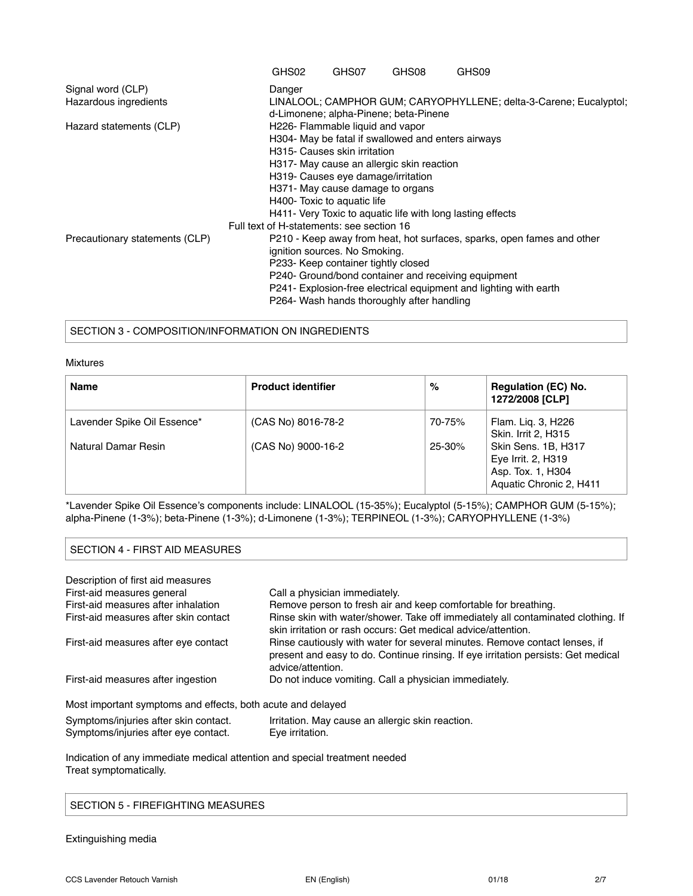|                                | GHS02                                     | GHS07                               | GHS08                                              | GHS09                                                                  |  |
|--------------------------------|-------------------------------------------|-------------------------------------|----------------------------------------------------|------------------------------------------------------------------------|--|
| Signal word (CLP)              | Danger                                    |                                     |                                                    |                                                                        |  |
| Hazardous ingredients          |                                           |                                     | d-Limonene; alpha-Pinene; beta-Pinene              | LINALOOL; CAMPHOR GUM; CARYOPHYLLENE; delta-3-Carene; Eucalyptol;      |  |
| Hazard statements (CLP)        |                                           | H226- Flammable liquid and vapor    |                                                    |                                                                        |  |
|                                |                                           |                                     | H304- May be fatal if swallowed and enters airways |                                                                        |  |
|                                |                                           | H315- Causes skin irritation        |                                                    |                                                                        |  |
|                                |                                           |                                     | H317- May cause an allergic skin reaction          |                                                                        |  |
|                                |                                           | H319- Causes eye damage/irritation  |                                                    |                                                                        |  |
|                                |                                           | H371- May cause damage to organs    |                                                    |                                                                        |  |
|                                |                                           | H400- Toxic to aquatic life         |                                                    |                                                                        |  |
|                                |                                           |                                     |                                                    | H411- Very Toxic to aquatic life with long lasting effects             |  |
|                                | Full text of H-statements: see section 16 |                                     |                                                    |                                                                        |  |
| Precautionary statements (CLP) |                                           |                                     |                                                    | P210 - Keep away from heat, hot surfaces, sparks, open fames and other |  |
|                                |                                           | ignition sources. No Smoking.       |                                                    |                                                                        |  |
|                                |                                           | P233- Keep container tightly closed |                                                    |                                                                        |  |
|                                |                                           |                                     |                                                    | P240- Ground/bond container and receiving equipment                    |  |
|                                |                                           |                                     |                                                    | P241- Explosion-free electrical equipment and lighting with earth      |  |
|                                |                                           |                                     | P264- Wash hands thoroughly after handling         |                                                                        |  |

#### SECTION 3 - COMPOSITION/INFORMATION ON INGREDIENTS

#### Mixtures

| <b>Name</b>                 | <b>Product identifier</b> | %          | <b>Regulation (EC) No.</b><br>1272/2008 [CLP]                                             |
|-----------------------------|---------------------------|------------|-------------------------------------------------------------------------------------------|
| Lavender Spike Oil Essence* | (CAS No) 8016-78-2        | 70-75%     | Flam. Lig. 3, H226<br>Skin. Irrit 2, H315                                                 |
| Natural Damar Resin         | (CAS No) 9000-16-2        | $25 - 30%$ | Skin Sens. 1B, H317<br>Eye Irrit. 2, H319<br>Asp. Tox. 1, H304<br>Aquatic Chronic 2, H411 |

\*Lavender Spike Oil Essence's components include: LINALOOL (15-35%); Eucalyptol (5-15%); CAMPHOR GUM (5-15%); alpha-Pinene (1-3%); beta-Pinene (1-3%); d-Limonene (1-3%); TERPINEOL (1-3%); CARYOPHYLLENE (1-3%)

#### SECTION 4 - FIRST AID MEASURES

| Description of first aid measures                           |                                                                                                                                                                                      |
|-------------------------------------------------------------|--------------------------------------------------------------------------------------------------------------------------------------------------------------------------------------|
| First-aid measures general                                  | Call a physician immediately.                                                                                                                                                        |
| First-aid measures after inhalation                         | Remove person to fresh air and keep comfortable for breathing.                                                                                                                       |
| First-aid measures after skin contact                       | Rinse skin with water/shower. Take off immediately all contaminated clothing. If<br>skin irritation or rash occurs: Get medical advice/attention.                                    |
| First-aid measures after eye contact                        | Rinse cautiously with water for several minutes. Remove contact lenses, if<br>present and easy to do. Continue rinsing. If eye irritation persists: Get medical<br>advice/attention. |
| First-aid measures after ingestion                          | Do not induce vomiting. Call a physician immediately.                                                                                                                                |
| Most important symptoms and effects, both acute and delayed |                                                                                                                                                                                      |
| Symptoms/injuries after skin contact.                       | Irritation. May cause an allergic skin reaction.                                                                                                                                     |

Indication of any immediate medical attention and special treatment needed Treat symptomatically.

#### SECTION 5 - FIREFIGHTING MEASURES

Symptoms/injuries after eye contact. Eye irritation.

Extinguishing media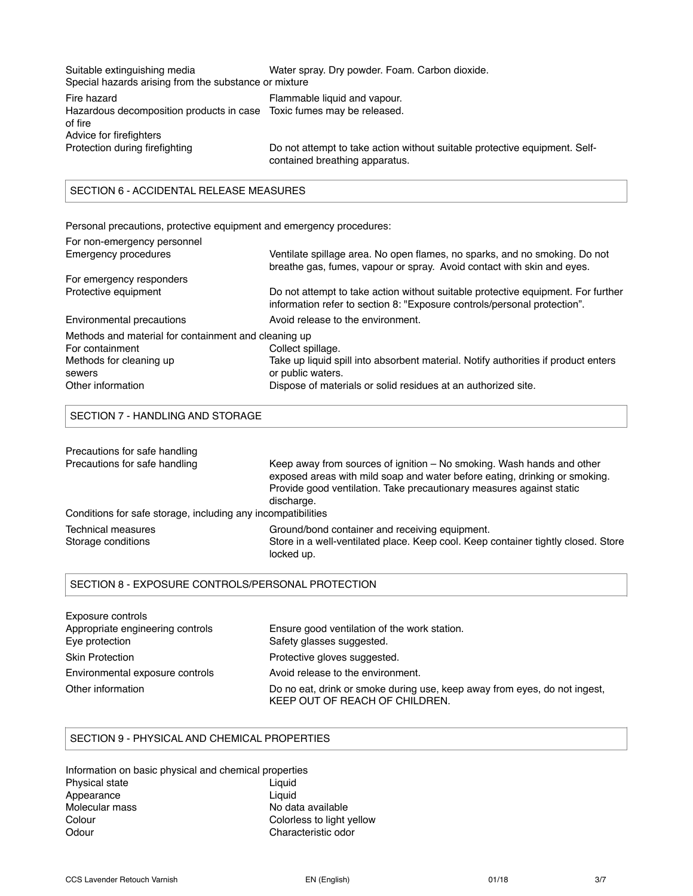| Suitable extinguishing media                                          | Water spray. Dry powder. Foam. Carbon dioxide.                                                               |
|-----------------------------------------------------------------------|--------------------------------------------------------------------------------------------------------------|
| Special hazards arising from the substance or mixture                 |                                                                                                              |
| Fire hazard                                                           | Flammable liquid and vapour.                                                                                 |
| Hazardous decomposition products in case Toxic fumes may be released. |                                                                                                              |
| of fire                                                               |                                                                                                              |
| Advice for firefighters                                               |                                                                                                              |
| Protection during firefighting                                        | Do not attempt to take action without suitable protective equipment. Self-<br>contained breathing apparatus. |

# SECTION 6 - ACCIDENTAL RELEASE MEASURES

Personal precautions, protective equipment and emergency procedures:

| For non-emergency personnel                          |                                                                                                                                                              |
|------------------------------------------------------|--------------------------------------------------------------------------------------------------------------------------------------------------------------|
| Emergency procedures                                 | Ventilate spillage area. No open flames, no sparks, and no smoking. Do not<br>breathe gas, fumes, vapour or spray. Avoid contact with skin and eyes.         |
| For emergency responders                             |                                                                                                                                                              |
| Protective equipment                                 | Do not attempt to take action without suitable protective equipment. For further<br>information refer to section 8: "Exposure controls/personal protection". |
| Environmental precautions                            | Avoid release to the environment.                                                                                                                            |
| Methods and material for containment and cleaning up |                                                                                                                                                              |
| For containment                                      | Collect spillage.                                                                                                                                            |
| Methods for cleaning up                              | Take up liquid spill into absorbent material. Notify authorities if product enters                                                                           |
| sewers                                               | or public waters.                                                                                                                                            |
| Other information                                    | Dispose of materials or solid residues at an authorized site.                                                                                                |

#### SECTION 7 - HANDLING AND STORAGE

| Precautions for safe handling                                |                                                                                                                                                                                                                                           |
|--------------------------------------------------------------|-------------------------------------------------------------------------------------------------------------------------------------------------------------------------------------------------------------------------------------------|
| Precautions for safe handling                                | Keep away from sources of ignition – No smoking. Wash hands and other<br>exposed areas with mild soap and water before eating, drinking or smoking.<br>Provide good ventilation. Take precautionary measures against static<br>discharge. |
| Conditions for safe storage, including any incompatibilities |                                                                                                                                                                                                                                           |
| Technical measures                                           | Ground/bond container and receiving equipment.                                                                                                                                                                                            |
| Storage conditions                                           | Store in a well-ventilated place. Keep cool. Keep container tightly closed. Store<br>locked up.                                                                                                                                           |

#### SECTION 8 - EXPOSURE CONTROLS/PERSONAL PROTECTION

| Exposure controls                |                                                                                                             |
|----------------------------------|-------------------------------------------------------------------------------------------------------------|
| Appropriate engineering controls | Ensure good ventilation of the work station.                                                                |
| Eye protection                   | Safety glasses suggested.                                                                                   |
| <b>Skin Protection</b>           | Protective gloves suggested.                                                                                |
| Environmental exposure controls  | Avoid release to the environment.                                                                           |
| Other information                | Do no eat, drink or smoke during use, keep away from eyes, do not ingest,<br>KEEP OUT OF REACH OF CHILDREN. |

#### SECTION 9 - PHYSICAL AND CHEMICAL PROPERTIES

| Information on basic physical and chemical properties |                           |
|-------------------------------------------------------|---------------------------|
| <b>Physical state</b>                                 | Liguid                    |
| Appearance                                            | Liauid                    |
| Molecular mass                                        | No data available         |
| Colour                                                | Colorless to light yellow |
| Odour                                                 | Characteristic odor       |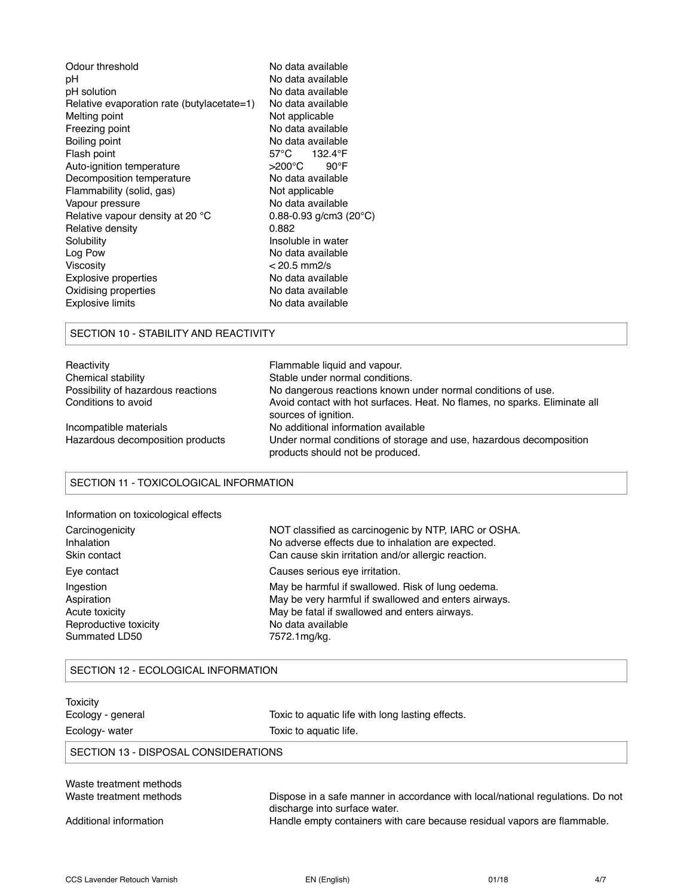| Odour threshold                            | No data available                     |
|--------------------------------------------|---------------------------------------|
| рH                                         | No data available                     |
| pH solution                                | No data available                     |
| Relative evaporation rate (butylacetate=1) | No data available                     |
| Melting point                              | Not applicable                        |
| Freezing point                             | No data available                     |
| Boiling point                              | No data available                     |
| Flash point                                | 57°C<br>132.4°F                       |
| Auto-ignition temperature                  | >200°C<br>$90^{\circ}$ F              |
| Decomposition temperature                  | No data available                     |
| Flammability (solid, gas)                  | Not applicable                        |
| Vapour pressure                            | No data available                     |
| Relative vapour density at 20 °C           | $0.88 - 0.93$ g/cm3 (20 $^{\circ}$ C) |
| Relative density                           | 0.882                                 |
| Solubility                                 | Insoluble in water                    |
| Log Pow                                    | No data available                     |
| Viscosity                                  | $< 20.5$ mm2/s                        |
| <b>Explosive properties</b>                | No data available                     |
| Oxidising properties                       | No data available                     |
| Explosive limits                           | No data available                     |
|                                            |                                       |

## SECTION 10 - STABILITY AND REACTIVITY

| Reactivity                         | Flammable liquid and vapour.                                                                            |
|------------------------------------|---------------------------------------------------------------------------------------------------------|
| Chemical stability                 | Stable under normal conditions.                                                                         |
| Possibility of hazardous reactions | No dangerous reactions known under normal conditions of use.                                            |
| Conditions to avoid                | Avoid contact with hot surfaces. Heat. No flames, no sparks. Eliminate all<br>sources of ignition.      |
| Incompatible materials             | No additional information available                                                                     |
| Hazardous decomposition products   | Under normal conditions of storage and use, hazardous decomposition<br>products should not be produced. |

## SECTION 11 - TOXICOLOGICAL INFORMATION

| Information on toxicological effects |  |  |
|--------------------------------------|--|--|
|                                      |  |  |
|                                      |  |  |
|                                      |  |  |

| Carcinogenicity       | NOT classified as carcinogenic by NTP, IARC or OSHA. |
|-----------------------|------------------------------------------------------|
| Inhalation            | No adverse effects due to inhalation are expected.   |
| Skin contact          | Can cause skin irritation and/or allergic reaction.  |
| Eye contact           | Causes serious eye irritation.                       |
| Ingestion             | May be harmful if swallowed. Risk of lung oedema.    |
| Aspiration            | May be very harmful if swallowed and enters airways. |
| Acute toxicity        | May be fatal if swallowed and enters airways.        |
| Reproductive toxicity | No data available                                    |
| Summated LD50         | 7572.1mg/kg.                                         |

## SECTION 12 - ECOLOGICAL INFORMATION

| Toxicity<br>Ecology - general<br>Ecology- water | Toxic to aquatic life with long lasting effects.<br>Toxic to aquatic life.                                      |  |  |  |  |
|-------------------------------------------------|-----------------------------------------------------------------------------------------------------------------|--|--|--|--|
| SECTION 13 - DISPOSAL CONSIDERATIONS            |                                                                                                                 |  |  |  |  |
| Waste treatment methods                         |                                                                                                                 |  |  |  |  |
| Waste treatment methods                         | Dispose in a safe manner in accordance with local/national regulations. Do not<br>discharge into surface water. |  |  |  |  |
| Additional information                          | Handle empty containers with care because residual vapors are flammable.                                        |  |  |  |  |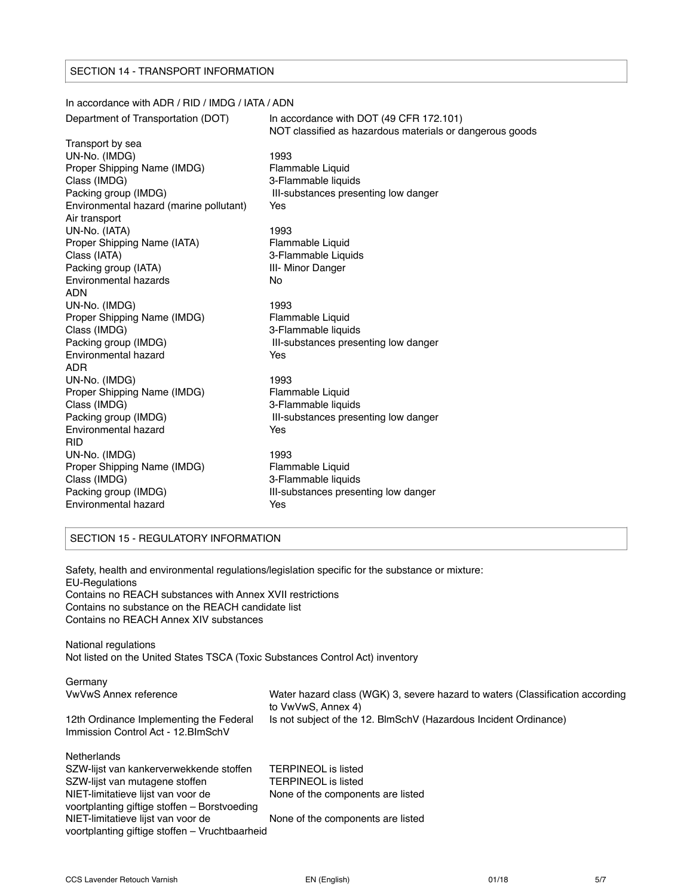#### SECTION 14 - TRANSPORT INFORMATION

## In accordance with ADR / RID / IMDG / IATA / ADN Department of Transportation (DOT) In accordance with DOT (49 CFR 172.101) NOT classified as hazardous materials or dangerous goods Transport by sea UN-No. (IMDG) 1993 Proper Shipping Name (IMDG) Flammable Liquid Class (IMDG) 3-Flammable liquids Packing group (IMDG) **III-substances presenting low danger** Environmental hazard (marine pollutant) Yes Air transport UN-No. (IATA) 1993 Proper Shipping Name (IATA) Flammable Liquid Class (IATA) 3-Flammable Liquids Packing group (IATA) **III- Minor Danger** Environmental hazards No ADN UN-No. (IMDG) 1993 Proper Shipping Name (IMDG) Flammable Liquid Class (IMDG) 3-Flammable liquids Packing group (IMDG) **III-substances presenting low danger** Environmental hazard Yes ADR UN-No. (IMDG) 1993 Proper Shipping Name (IMDG) Flammable Liquid Class (IMDG) 3-Flammable liquids Packing group (IMDG) **III-substances presenting low danger** Environmental hazard **Yes** RID UN-No. (IMDG) 1993 Proper Shipping Name (IMDG) Flammable Liquid Class (IMDG) 3-Flammable liquids Packing group (IMDG) **III-substances presenting low danger** Environmental hazard **Yes**

## SECTION 15 - REGULATORY INFORMATION

Safety, health and environmental regulations/legislation specific for the substance or mixture: EU-Regulations Contains no REACH substances with Annex XVII restrictions Contains no substance on the REACH candidate list Contains no REACH Annex XIV substances

National regulations Not listed on the United States TSCA (Toxic Substances Control Act) inventory

| Germany<br><b>VwVwS Annex reference</b>                                              | Water hazard class (WGK) 3, severe hazard to waters (Classification according<br>to VwVwS, Annex 4) |
|--------------------------------------------------------------------------------------|-----------------------------------------------------------------------------------------------------|
| 12th Ordinance Implementing the Federal<br>Immission Control Act - 12. BlmSchV       | Is not subject of the 12. BlmSchV (Hazardous Incident Ordinance)                                    |
| Netherlands                                                                          |                                                                                                     |
| SZW-lijst van kankerverwekkende stoffen                                              | <b>TERPINEOL</b> is listed                                                                          |
| SZW-lijst van mutagene stoffen                                                       | <b>TERPINEOL</b> is listed                                                                          |
| NIET-limitatieve lijst van voor de<br>voortplanting giftige stoffen – Borstvoeding   | None of the components are listed                                                                   |
| NIET-limitatieve lijst van voor de<br>voortplanting giftige stoffen - Vruchtbaarheid | None of the components are listed                                                                   |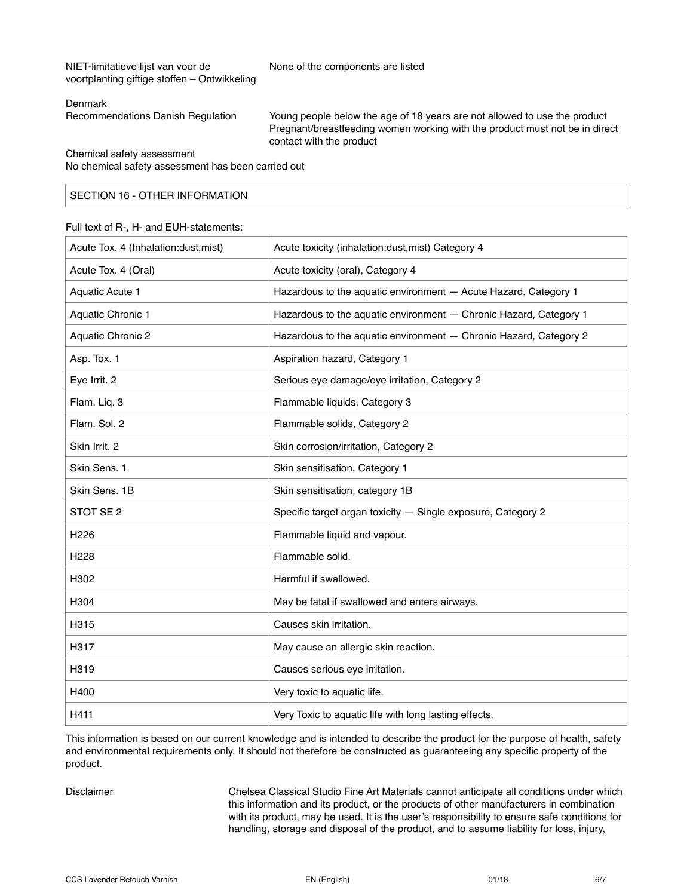NIET-limitatieve lijst van voor de None of the components are listed voortplanting giftige stoffen – Ontwikkeling

#### Denmark

Recommendations Danish Regulation Young people below the age of 18 years are not allowed to use the product Pregnant/breastfeeding women working with the product must not be in direct contact with the product

Chemical safety assessment

No chemical safety assessment has been carried out

### SECTION 16 - OTHER INFORMATION

#### Full text of R-, H- and EUH-statements:

| Acute Tox. 4 (Inhalation:dust, mist) | Acute toxicity (inhalation:dust, mist) Category 4                 |
|--------------------------------------|-------------------------------------------------------------------|
| Acute Tox. 4 (Oral)                  | Acute toxicity (oral), Category 4                                 |
| Aquatic Acute 1                      | Hazardous to the aquatic environment - Acute Hazard, Category 1   |
| Aquatic Chronic 1                    | Hazardous to the aquatic environment - Chronic Hazard, Category 1 |
| <b>Aquatic Chronic 2</b>             | Hazardous to the aquatic environment - Chronic Hazard, Category 2 |
| Asp. Tox. 1                          | Aspiration hazard, Category 1                                     |
| Eye Irrit. 2                         | Serious eye damage/eye irritation, Category 2                     |
| Flam. Liq. 3                         | Flammable liquids, Category 3                                     |
| Flam. Sol. 2                         | Flammable solids, Category 2                                      |
| Skin Irrit. 2                        | Skin corrosion/irritation, Category 2                             |
| Skin Sens. 1                         | Skin sensitisation, Category 1                                    |
| Skin Sens. 1B                        | Skin sensitisation, category 1B                                   |
| STOT SE 2                            | Specific target organ toxicity - Single exposure, Category 2      |
| H <sub>226</sub>                     | Flammable liquid and vapour.                                      |
| H <sub>228</sub>                     | Flammable solid.                                                  |
| H302                                 | Harmful if swallowed.                                             |
| H304                                 | May be fatal if swallowed and enters airways.                     |
| H315                                 | Causes skin irritation.                                           |
| H317                                 | May cause an allergic skin reaction.                              |
| H319                                 | Causes serious eye irritation.                                    |
| H400                                 | Very toxic to aquatic life.                                       |
| H411                                 | Very Toxic to aquatic life with long lasting effects.             |

This information is based on our current knowledge and is intended to describe the product for the purpose of health, safety and environmental requirements only. It should not therefore be constructed as guaranteeing any specific property of the product.

Disclaimer Chelsea Classical Studio Fine Art Materials cannot anticipate all conditions under which this information and its product, or the products of other manufacturers in combination with its product, may be used. It is the user's responsibility to ensure safe conditions for handling, storage and disposal of the product, and to assume liability for loss, injury,